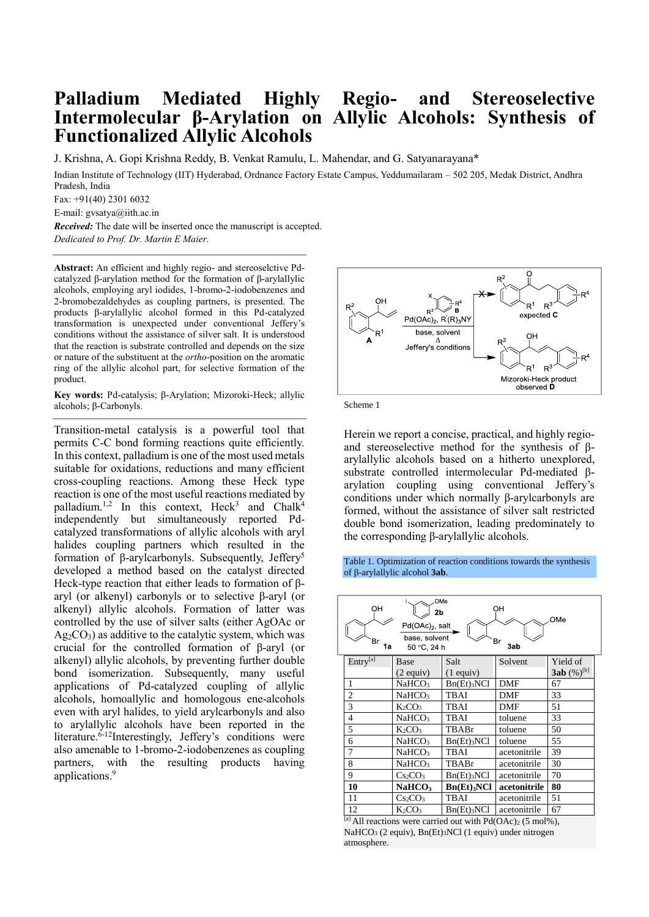## **Palladium Mediated Highly Regio- and Stereoselective Intermolecular β-Arylation on Allylic Alcohols: Synthesis of Functionalized Allylic Alcohols**

J. Krishna, A. Gopi Krishna Reddy, B. Venkat Ramulu, L. Mahendar, and G. Satyanarayana\*

Indian Institute of Technology (IIT) Hyderabad, Ordnance Factory Estate Campus, Yeddumailaram – 502 205, Medak District, Andhra Pradesh, India

 $Fax: +91(40)$  2301 6032

E-mail: gvsatya@iith.ac.in

*Received:* The date will be inserted once the manuscript is accepted. *Dedicated to Prof. Dr. Martin E Maier.*

**Abstract:** An efficient and highly regio- and stereoselctive Pdcatalyzed β-arylation method for the formation of β-arylallylic alcohols, employing aryl iodides, 1-bromo-2-iodobenzenes and 2-bromobezaldehydes as coupling partners, is presented. The products β-arylallylic alcohol formed in this Pd-catalyzed transformation is unexpected under conventional Jeffery's conditions without the assistance of silver salt. It is understood that the reaction is substrate controlled and depends on the size or nature of the substituent at the *ortho*-position on the aromatic ring of the allylic alcohol part, for selective formation of the product.

**Key words:** Pd-catalysis; β-Arylation; Mizoroki-Heck; allylic alcohols; β-Carbonyls.

Transition-metal catalysis is a powerful tool that permits C-C bond forming reactions quite efficiently. In this context, palladium is one of the most used metals suitable for oxidations, reductions and many efficient cross-coupling reactions. Among these Heck type reaction is one of the most useful reactions mediated by palladium.<sup>1,2</sup> In this context, Heck<sup>3</sup> and Chalk<sup>4</sup> independently but simultaneously reported Pdcatalyzed transformations of allylic alcohols with aryl halides coupling partners which resulted in the formation of β-arylcarbonyls. Subsequently, Jeffery<sup>5</sup> developed a method based on the catalyst directed Heck-type reaction that either leads to formation of βaryl (or alkenyl) carbonyls or to selective β-aryl (or alkenyl) allylic alcohols. Formation of latter was controlled by the use of silver salts (either AgOAc or  $Ag<sub>2</sub>CO<sub>3</sub>$ ) as additive to the catalytic system, which was crucial for the controlled formation of β-aryl (or alkenyl) allylic alcohols, by preventing further double bond isomerization. Subsequently, many useful applications of Pd-catalyzed coupling of allylic alcohols, homoallylic and homologous ene-alcohols even with aryl halides, to yield arylcarbonyls and also to arylallylic alcohols have been reported in the literature.<sup>6-12</sup>Interestingly, Jeffery's conditions were also amenable to 1-bromo-2-iodobenzenes as coupling partners, with the resulting products having applications.<sup>9</sup>



Scheme 1

Herein we report a concise, practical, and highly regioand stereoselective method for the synthesis of βarylallylic alcohols based on a hitherto unexplored, substrate controlled intermolecular Pd-mediated βarylation coupling using conventional Jeffery's conditions under which normally β-arylcarbonyls are formed, without the assistance of silver salt restricted double bond isomerization, leading predominately to the corresponding β-arylallylic alcohols.

Table 1. Optimization of reaction conditions towards the synthesis of β-arylallylic alcohol **3ab**.

| OMe<br>OН<br>OН<br>2b<br>OMe<br>Pd(OAc) <sub>2</sub> , salt<br>base, solvent<br>Br<br>Br<br>1a<br>3ab<br>50 °C, 24 h |                      |                                 |                           |              |                          |  |
|----------------------------------------------------------------------------------------------------------------------|----------------------|---------------------------------|---------------------------|--------------|--------------------------|--|
|                                                                                                                      | Entry <sup>[a]</sup> | Base                            | Salt                      | Solvent      | Yield of                 |  |
|                                                                                                                      |                      | $(2$ equiv)                     | $(1$ equiv)               |              | $3ab$ (%) <sup>[b]</sup> |  |
|                                                                                                                      | 1                    | NaHCO <sub>3</sub>              | $Bn(Et)$ <sub>3</sub> NCl | DMF          | 67                       |  |
|                                                                                                                      | $\overline{2}$       | NaHCO <sub>3</sub>              | <b>TBAI</b>               | <b>DMF</b>   | 33                       |  |
|                                                                                                                      | 3                    | $K_2CO_3$                       | TBAI                      | DMF          | 51                       |  |
|                                                                                                                      | $\overline{4}$       | NaHCO <sub>3</sub>              | TBAI                      | toluene      | 33                       |  |
|                                                                                                                      | 5                    | $K_2CO3$                        | TBABr                     | toluene      | 50                       |  |
|                                                                                                                      | 6                    | NaHCO <sub>3</sub>              | Bn(Et)3NCl                | toluene      | 55                       |  |
|                                                                                                                      | 7                    | NaHCO <sub>3</sub>              | TBAI                      | acetonitrile | 39                       |  |
|                                                                                                                      | 8                    | NaHCO <sub>3</sub>              | TBABr                     | acetonitrile | 30                       |  |
|                                                                                                                      | 9                    | $Cs_2CO_3$                      | $Bn(Et)$ <sub>3</sub> NCl | acetonitrile | 70                       |  |
|                                                                                                                      | 10                   | NaHCO <sub>3</sub>              | $Bn(Et)$ <sub>3</sub> NCl | acetonitrile | 80                       |  |
|                                                                                                                      | 11                   | Cs <sub>2</sub> CO <sub>3</sub> | TBAI                      | acetonitrile | 51                       |  |
|                                                                                                                      | 12                   | K <sub>2</sub> CO <sub>3</sub>  | Bn(Et)3NCl                | acetonitrile | 67                       |  |

[a] All reactions were carried out with  $Pd(OAc)_{2}$  (5 mol%), NaHCO<sup>3</sup> (2 equiv), Bn(Et)3NCl (1 equiv) under nitrogen atmosphere.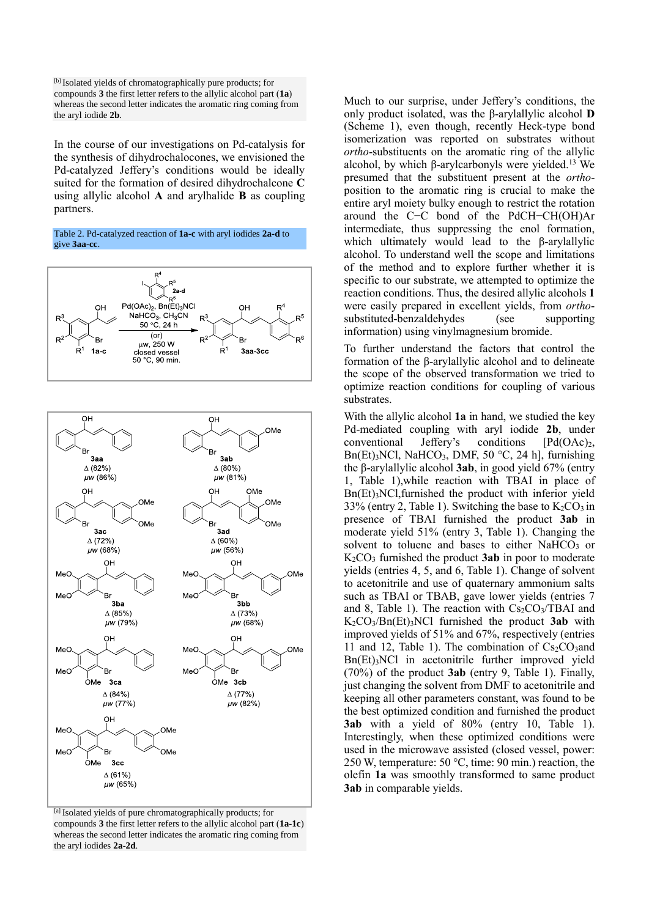[b] Isolated yields of chromatographically pure products; for compounds **3** the first letter refers to the allylic alcohol part (**1a**) whereas the second letter indicates the aromatic ring coming from the aryl iodide **2b**.

In the course of our investigations on Pd-catalysis for the synthesis of dihydrochalocones, we envisioned the Pd-catalyzed Jeffery's conditions would be ideally suited for the formation of desired dihydrochalcone **C** using allylic alcohol **A** and arylhalide **B** as coupling partners.







[a] Isolated yields of pure chromatographically products; for compounds **3** the first letter refers to the allylic alcohol part (**1a**-**1c**) whereas the second letter indicates the aromatic ring coming from the aryl iodides **2a**-**2d**.

Much to our surprise, under Jeffery's conditions, the only product isolated, was the β-arylallylic alcohol **D** (Scheme 1), even though, recently Heck-type bond isomerization was reported on substrates without *ortho*-substituents on the aromatic ring of the allylic alcohol, by which β-arylcarbonyls were yielded.<sup>13</sup> We presumed that the substituent present at the *ortho*position to the aromatic ring is crucial to make the entire aryl moiety bulky enough to restrict the rotation around the C−C bond of the PdCH−CH(OH)Ar intermediate, thus suppressing the enol formation, which ultimately would lead to the β-arylallylic alcohol. To understand well the scope and limitations of the method and to explore further whether it is specific to our substrate, we attempted to optimize the reaction conditions. Thus, the desired allylic alcohols **1** were easily prepared in excellent yields, from *ortho*substituted-benzaldehydes (see supporting information) using vinylmagnesium bromide.

To further understand the factors that control the formation of the β-arylallylic alcohol and to delineate the scope of the observed transformation we tried to optimize reaction conditions for coupling of various substrates.

With the allylic alcohol **1a** in hand, we studied the key Pd-mediated coupling with aryl iodide **2b**, under conventional Jeffery's conditions [Pd(OAc)2, Bn(Et)<sub>3</sub>NCl, NaHCO<sub>3</sub>, DMF, 50  $^{\circ}$ C, 24 h], furnishing the β-arylallylic alcohol **3ab**, in good yield 67% (entry 1, Table 1),while reaction with TBAI in place of Bn(Et)3NCl,furnished the product with inferior yield 33% (entry 2, Table 1). Switching the base to  $K_2CO_3$  in presence of TBAI furnished the product **3ab** in moderate yield 51% (entry 3, Table 1). Changing the solvent to toluene and bases to either NaHCO<sub>3</sub> or K2CO<sup>3</sup> furnished the product **3ab** in poor to moderate yields (entries 4, 5, and 6, Table 1). Change of solvent to acetonitrile and use of quaternary ammonium salts such as TBAI or TBAB, gave lower yields (entries 7 and 8, Table 1). The reaction with  $Cs<sub>2</sub>CO<sub>3</sub>/TBAI$  and K2CO3/Bn(Et)3NCl furnished the product **3ab** with improved yields of 51% and 67%, respectively (entries 11 and 12, Table 1). The combination of  $Cs<sub>2</sub>CO<sub>3</sub>$  and  $Bn(Et)$ <sub>3</sub>NCl in acetonitrile further improved yield (70%) of the product **3ab** (entry 9, Table 1). Finally, just changing the solvent from DMF to acetonitrile and keeping all other parameters constant, was found to be the best optimized condition and furnished the product **3ab** with a yield of 80% (entry 10, Table 1). Interestingly, when these optimized conditions were used in the microwave assisted (closed vessel, power: 250 W, temperature: 50 °C, time: 90 min.) reaction, the olefin **1a** was smoothly transformed to same product **3ab** in comparable yields.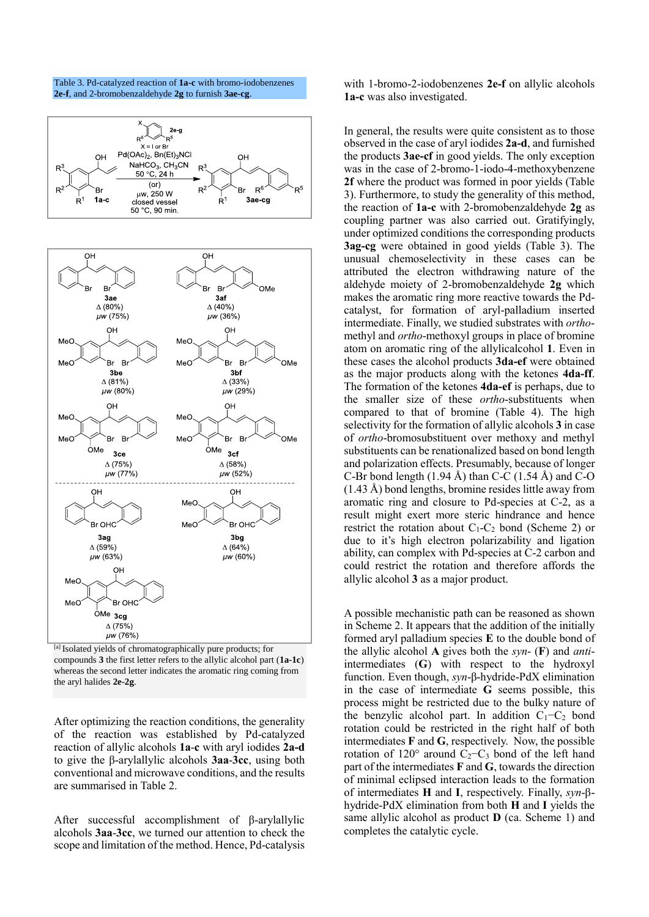

Table 3. Pd-catalyzed reaction of **1a-c** with bromo-iodobenzenes

[a] Isolated yields of chromatographically pure products; for compounds **3** the first letter refers to the allylic alcohol part (**1a-1c**) whereas the second letter indicates the aromatic ring coming from the aryl halides **2e-2g**.

After optimizing the reaction conditions, the generality of the reaction was established by Pd-catalyzed reaction of allylic alcohols **1a**-**c** with aryl iodides **2a-d** to give the β-arylallylic alcohols **3aa**-**3cc**, using both conventional and microwave conditions, and the results are summarised in Table 2.

After successful accomplishment of β-arylallylic alcohols **3aa**-**3cc**, we turned our attention to check the scope and limitation of the method. Hence, Pd-catalysis with 1-bromo-2-iodobenzenes **2e-f** on allylic alcohols **1a-c** was also investigated.

In general, the results were quite consistent as to those observed in the case of aryl iodides **2a-d**, and furnished the products **3ae-cf** in good yields. The only exception was in the case of 2-bromo-1-iodo-4-methoxybenzene **2f** where the product was formed in poor yields (Table 3). Furthermore, to study the generality of this method, the reaction of **1a-c** with 2-bromobenzaldehyde **2g** as coupling partner was also carried out. Gratifyingly, under optimized conditions the corresponding products **3ag-cg** were obtained in good yields (Table 3). The unusual chemoselectivity in these cases can be attributed the electron withdrawing nature of the aldehyde moiety of 2-bromobenzaldehyde **2g** which makes the aromatic ring more reactive towards the Pdcatalyst, for formation of aryl-palladium inserted intermediate. Finally, we studied substrates with *ortho*methyl and *ortho*-methoxyl groups in place of bromine atom on aromatic ring of the allylicalcohol **1**. Even in these cases the alcohol products **3da-ef** were obtained as the major products along with the ketones **4da-ff**. The formation of the ketones **4da-ef** is perhaps, due to the smaller size of these *ortho*-substituents when compared to that of bromine (Table 4). The high selectivity for the formation of allylic alcohols **3** in case of *ortho*-bromosubstituent over methoxy and methyl substituents can be renationalized based on bond length and polarization effects. Presumably, because of longer C-Br bond length  $(1.94 \text{ Å})$  than C-C  $(1.54 \text{ Å})$  and C-O (1.43 Å) bond lengths, bromine resides little away from aromatic ring and closure to Pd-species at C-2, as a result might exert more steric hindrance and hence restrict the rotation about  $C_1-C_2$  bond (Scheme 2) or due to it's high electron polarizability and ligation ability, can complex with Pd-species at C-2 carbon and could restrict the rotation and therefore affords the allylic alcohol **3** as a major product.

A possible mechanistic path can be reasoned as shown in Scheme 2. It appears that the addition of the initially formed aryl palladium species **E** to the double bond of the allylic alcohol **A** gives both the *syn*- (**F**) and *anti*intermediates (**G**) with respect to the hydroxyl function. Even though, *syn*-β-hydride-PdX elimination in the case of intermediate **G** seems possible, this process might be restricted due to the bulky nature of the benzylic alcohol part. In addition  $C_1-C_2$  bond rotation could be restricted in the right half of both intermediates **F** and **G**, respectively. Now, the possible rotation of 120 $^{\circ}$  around C<sub>2</sub>−C<sub>3</sub> bond of the left hand part of the intermediates **F** and **G**, towards the direction of minimal eclipsed interaction leads to the formation of intermediates **H** and **I**, respectively. Finally, *syn*-βhydride-PdX elimination from both **H** and **I** yields the same allylic alcohol as product **D** (ca. Scheme 1) and completes the catalytic cycle.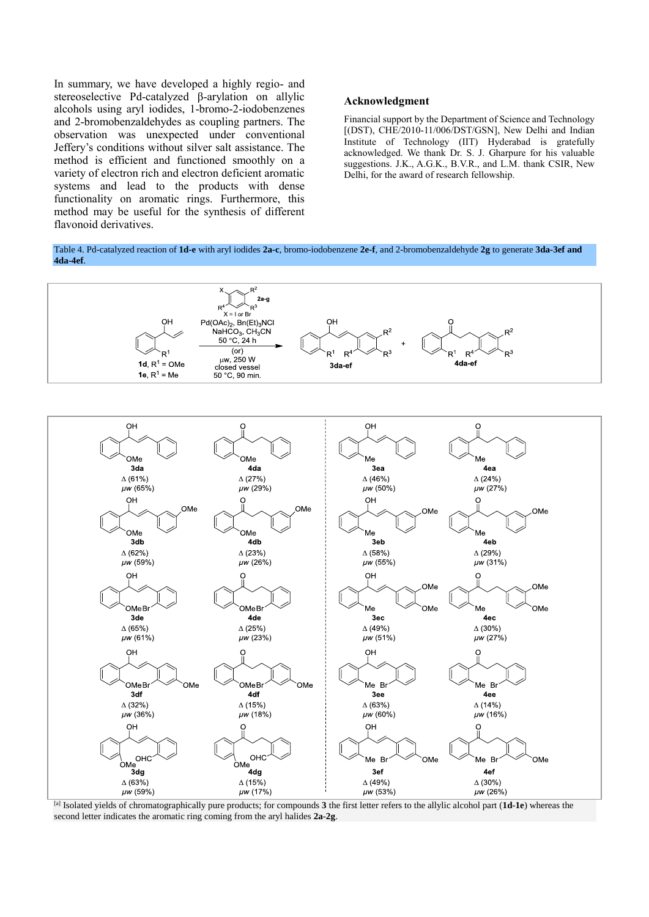In summary, we have developed a highly regio- and stereoselective Pd-catalyzed β-arylation on allylic alcohols using aryl iodides, 1-bromo-2-iodobenzenes and 2-bromobenzaldehydes as coupling partners. The observation was unexpected under conventional Jeffery's conditions without silver salt assistance. The method is efficient and functioned smoothly on a variety of electron rich and electron deficient aromatic systems and lead to the products with dense functionality on aromatic rings. Furthermore, this method may be useful for the synthesis of different flavonoid derivatives.

## **Acknowledgment**

Financial support by the Department of Science and Technology [(DST), CHE/2010-11/006/DST/GSN], New Delhi and Indian Institute of Technology (IIT) Hyderabad is gratefully acknowledged. We thank Dr. S. J. Gharpure for his valuable suggestions. J.K., A.G.K., B.V.R., and L.M. thank CSIR, New Delhi, for the award of research fellowship.

Table 4. Pd-catalyzed reaction of **1d-e** with aryl iodides **2a-c**, bromo-iodobenzene **2e-f**, and 2-bromobenzaldehyde **2g** to generate **3da-3ef and 4da-4ef**.



[a] Isolated yields of chromatographically pure products; for compounds **3** the first letter refers to the allylic alcohol part (**1d-1e**) whereas the second letter indicates the aromatic ring coming from the aryl halides **2a-2g**.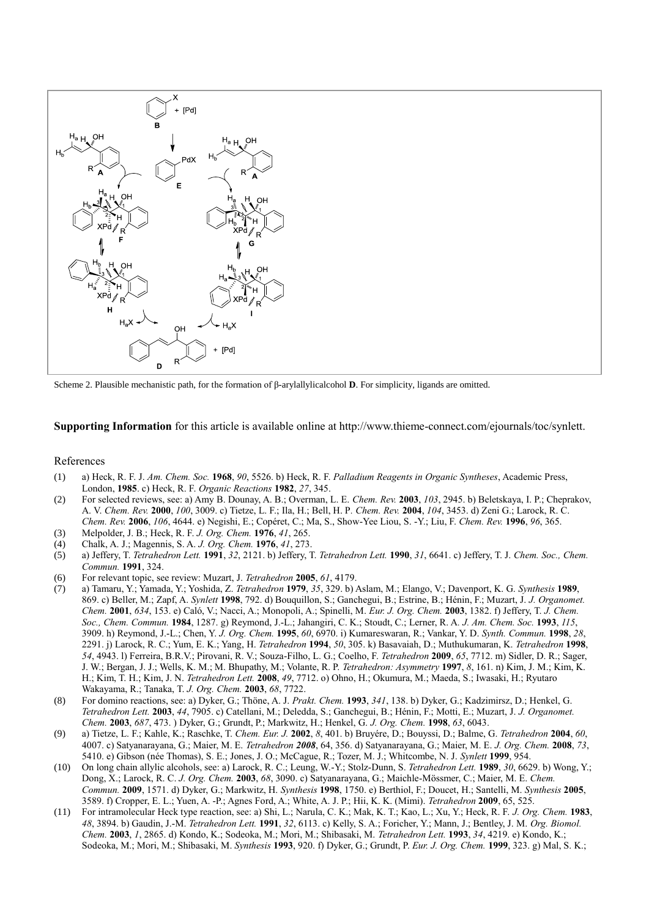

Scheme 2. Plausible mechanistic path, for the formation of β-arylallylicalcohol **D**. For simplicity, ligands are omitted.

**Supporting Information** for this article is available online at http://www.thieme-connect.com/ejournals/toc/synlett.

## References

- (1) a) Heck, R. F. J. *Am. Chem. Soc.* **1968**, *90*, 5526. b) Heck, R. F. *Palladium Reagents in Organic Syntheses*, Academic Press, London, **1985**. c) Heck, R. F. *Organic Reactions* **1982**, *27*, 345.
- (2) For selected reviews, see: a) Amy B. Dounay, A. B.; Overman, L. E. *Chem. Rev.* **2003**, *103*, 2945. b) Beletskaya, I. P.; Cheprakov, A. V. *Chem. Rev.* **2000**, *100*, 3009. c) Tietze, L. F.; Ila, H.; Bell, H. P*. Chem. Rev.* **2004**, *104*, 3453. d) Zeni G.; Larock, R. C. *Chem. Rev.* **2006**, *106*, 4644. e) Negishi, E.; Copéret, C.; Ma, S., Show-Yee Liou, S. -Y.; Liu, F. *Chem. Rev.* **1996**, *96*, 365.
- (3) Melpolder, J. B.; Heck, R. F. *J. Org. Chem.* **1976**, *41*, 265.
- (4) Chalk, A. J.; Magennis, S. A. *J. Org. Chem.* **1976**, *41*, 273.
- (5) a) Jeffery, T. *Tetrahedron Lett.* **1991**, *32*, 2121. b) Jeffery, T. *Tetrahedron Lett.* **1990**, *31*, 6641. c) Jeffery, T. J. *Chem. Soc., Chem. Commun.* **1991**, 324.
- (6) For relevant topic, see review: Muzart, J. *Tetrahedron* **2005**, *61*, 4179.
- (7) a) Tamaru, Y.; Yamada, Y.; Yoshida, Z. *Tetrahedron* **1979**, *35*, 329. b) Aslam, M.; Elango, V.; Davenport, K. G. *Synthesis* **1989**, 869. c) Beller, M.; Zapf, A. *Synlett* **1998**, 792. d) Bouquillon, S.; Ganchegui, B.; Estrine, B.; Hénin, F.; Muzart, J. *J. Organomet. Chem.* **2001**, *634*, 153. e) Caló, V.; Nacci, A.; Monopoli, A.; Spinelli, M. *Eur. J. Org. Chem.* **2003**, 1382. f) Jeffery, T. *J. Chem. Soc., Chem. Commun.* **1984**, 1287. g) Reymond, J.-L.; Jahangiri, C. K.; Stoudt, C.; Lerner, R. A*. J. Am. Chem. Soc.* **1993**, *115*, 3909. h) Reymond, J.-L.; Chen, Y. *J. Org. Chem.* **1995**, *60*, 6970. i) Kumareswaran, R.; Vankar, Y. D. *Synth. Commun.* **1998**, *28*, 2291. j) Larock, R. C.; Yum, E. K.; Yang, H. *Tetrahedron* **1994**, *50*, 305. k) Basavaiah, D.; Muthukumaran, K. *Tetrahedron* **1998**, *54*, 4943. l) Ferreira, B.R.V.; Pirovani, R. V.; Souza-Filho, L. G.; Coelho, F. *Tetrahedron* **2009**, *65*, 7712. m) Sidler, D. R.; Sager, J. W.; Bergan, J. J.; Wells, K. M.; M. Bhupathy, M.; Volante, R. P. *Tetrahedron: Asymmetry* **1997**, *8*, 161. n) Kim, J. M.; Kim, K. H.; Kim, T. H.; Kim, J. N. *Tetrahedron Lett.* **2008**, *49*, 7712. o) Ohno, H.; Okumura, M.; Maeda, S.; Iwasaki, H.; Ryutaro Wakayama, R.; Tanaka, T. *J. Org. Chem.* **2003**, *68*, 7722.
- (8) For domino reactions, see: a) Dyker, G.; Thöne, A. J. *Prakt. Chem.* **1993**, *341*, 138. b) Dyker, G.; Kadzimirsz, D.; Henkel, G. *Tetrahedron Lett.* **2003**, *44*, 7905. c) Catellani, M.; Deledda, S.; Ganchegui, B.; Hénin, F.; Motti, E.; Muzart, J. *J. Organomet. Chem.* **2003**, *687*, 473. ) Dyker, G.; Grundt, P.; Markwitz, H.; Henkel, G. *J. Org. Chem.* **1998**, *63*, 6043.
- (9) a) Tietze, L. F.; Kahle, K.; Raschke, T. *Chem. Eur. J.* **2002**, *8*, 401. b) Bruyére, D.; Bouyssi, D.; Balme, G. *Tetrahedron* **2004**, *60*, 4007. c) Satyanarayana, G.; Maier, M. E. *Tetrahedron 2008*, 64, 356. d) Satyanarayana, G.; Maier, M. E. *J. Org. Chem.* **2008**, *73*, 5410. e) Gibson (née Thomas), S. E.; Jones, J. O.; McCague, R.; Tozer, M. J.; Whitcombe, N. J. *Synlett* **1999**, 954.
- (10) On long chain allylic alcohols, see: a) Larock, R. C.; Leung, W.-Y.; Stolz-Dunn, S. *Tetrahedron Lett.* **1989**, *30*, 6629. b) Wong, Y.; Dong, X.; Larock, R. C. *J. Org. Chem.* **2003**, *68*, 3090. c) Satyanarayana, G.; Maichle-Mössmer, C.; Maier, M. E. *Chem. Commun.* **2009**, 1571. d) Dyker, G.; Markwitz, H. *Synthesis* **1998**, 1750. e) Berthiol, F.; Doucet, H.; Santelli, M. *Synthesis* **2005**, 3589. f) Cropper, E. L.; Yuen, A. -P.; Agnes Ford, A.; White, A. J. P.; Hii, K. K. (Mimi). *Tetrahedron* **2009**, 65, 525.
- (11) For intramolecular Heck type reaction, see: a) Shi, L.; Narula, C. K.; Mak, K. T.; Kao, L.; Xu, Y.; Heck, R. F. *J. Org. Chem.* **1983**, *48*, 3894. b) Gaudin, J.-M. *Tetrahedron Lett.* **1991**, *32*, 6113. c) Kelly, S. A.; Foricher, Y.; Mann, J.; Bentley, J. M. *Org. Biomol. Chem.* **2003**, *1*, 2865. d) Kondo, K.; Sodeoka, M.; Mori, M.; Shibasaki, M. *Tetrahedron Lett.* **1993**, *34*, 4219. e) Kondo, K.; Sodeoka, M.; Mori, M.; Shibasaki, M. *Synthesis* **1993**, 920. f) Dyker, G.; Grundt, P. *Eur. J. Org. Chem.* **1999**, 323. g) Mal, S. K.;